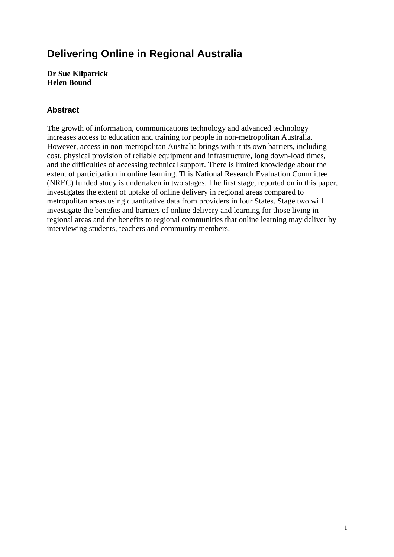# **Delivering Online in Regional Australia**

**Dr Sue Kilpatrick Helen Bound** 

## **Abstract**

The growth of information, communications technology and advanced technology increases access to education and training for people in non-metropolitan Australia. However, access in non-metropolitan Australia brings with it its own barriers, including cost, physical provision of reliable equipment and infrastructure, long down-load times, and the difficulties of accessing technical support. There is limited knowledge about the extent of participation in online learning. This National Research Evaluation Committee (NREC) funded study is undertaken in two stages. The first stage, reported on in this paper, investigates the extent of uptake of online delivery in regional areas compared to metropolitan areas using quantitative data from providers in four States. Stage two will investigate the benefits and barriers of online delivery and learning for those living in regional areas and the benefits to regional communities that online learning may deliver by interviewing students, teachers and community members.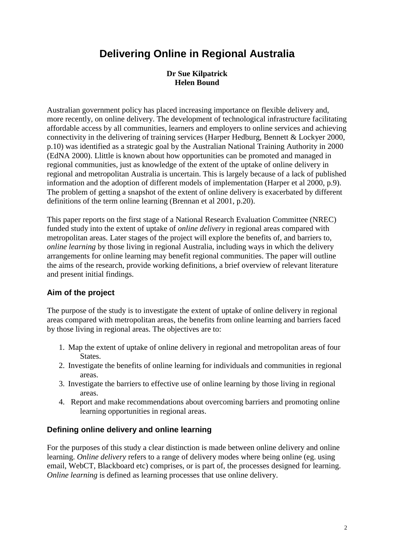# **Delivering Online in Regional Australia**

#### **Dr Sue Kilpatrick Helen Bound**

Australian government policy has placed increasing importance on flexible delivery and, more recently, on online delivery. The development of technological infrastructure facilitating affordable access by all communities, learners and employers to online services and achieving connectivity in the delivering of training services (Harper Hedburg, Bennett & Lockyer 2000, p.10) was identified as a strategic goal by the Australian National Training Authority in 2000 (EdNA 2000). Llittle is known about how opportunities can be promoted and managed in regional communities, just as knowledge of the extent of the uptake of online delivery in regional and metropolitan Australia is uncertain. This is largely because of a lack of published information and the adoption of different models of implementation (Harper et al 2000, p.9). The problem of getting a snapshot of the extent of online delivery is exacerbated by different definitions of the term online learning (Brennan et al 2001, p.20).

This paper reports on the first stage of a National Research Evaluation Committee (NREC) funded study into the extent of uptake of *online delivery* in regional areas compared with metropolitan areas. Later stages of the project will explore the benefits of, and barriers to, *online learning* by those living in regional Australia, including ways in which the delivery arrangements for online learning may benefit regional communities. The paper will outline the aims of the research, provide working definitions, a brief overview of relevant literature and present initial findings.

## **Aim of the project**

The purpose of the study is to investigate the extent of uptake of online delivery in regional areas compared with metropolitan areas, the benefits from online learning and barriers faced by those living in regional areas. The objectives are to:

- 1. Map the extent of uptake of online delivery in regional and metropolitan areas of four States.
- 2. Investigate the benefits of online learning for individuals and communities in regional areas.
- 3. Investigate the barriers to effective use of online learning by those living in regional areas.
- 4. Report and make recommendations about overcoming barriers and promoting online learning opportunities in regional areas.

## **Defining online delivery and online learning**

For the purposes of this study a clear distinction is made between online delivery and online learning. *Online delivery* refers to a range of delivery modes where being online (eg. using email, WebCT, Blackboard etc) comprises, or is part of, the processes designed for learning. *Online learning* is defined as learning processes that use online delivery.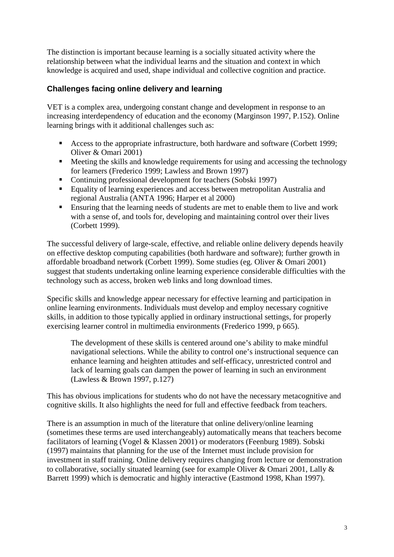The distinction is important because learning is a socially situated activity where the relationship between what the individual learns and the situation and context in which knowledge is acquired and used, shape individual and collective cognition and practice.

## **Challenges facing online delivery and learning**

VET is a complex area, undergoing constant change and development in response to an increasing interdependency of education and the economy (Marginson 1997, P.152). Online learning brings with it additional challenges such as:

- Access to the appropriate infrastructure, both hardware and software (Corbett 1999; Oliver & Omari 2001)
- **Meeting the skills and knowledge requirements for using and accessing the technology** for learners (Frederico 1999; Lawless and Brown 1997)
- Continuing professional development for teachers (Sobski 1997)
- Equality of learning experiences and access between metropolitan Australia and regional Australia (ANTA 1996; Harper et al 2000)
- **Ensuring that the learning needs of students are met to enable them to live and work** with a sense of, and tools for, developing and maintaining control over their lives (Corbett 1999).

The successful delivery of large-scale, effective, and reliable online delivery depends heavily on effective desktop computing capabilities (both hardware and software); further growth in affordable broadband network (Corbett 1999). Some studies (eg. Oliver & Omari 2001) suggest that students undertaking online learning experience considerable difficulties with the technology such as access, broken web links and long download times.

Specific skills and knowledge appear necessary for effective learning and participation in online learning environments. Individuals must develop and employ necessary cognitive skills, in addition to those typically applied in ordinary instructional settings, for properly exercising learner control in multimedia environments (Frederico 1999, p 665).

The development of these skills is centered around one's ability to make mindful navigational selections. While the ability to control one's instructional sequence can enhance learning and heighten attitudes and self-efficacy, unrestricted control and lack of learning goals can dampen the power of learning in such an environment (Lawless & Brown 1997, p.127)

This has obvious implications for students who do not have the necessary metacognitive and cognitive skills. It also highlights the need for full and effective feedback from teachers.

There is an assumption in much of the literature that online delivery/online learning (sometimes these terms are used interchangeably) automatically means that teachers become facilitators of learning (Vogel & Klassen 2001) or moderators (Feenburg 1989). Sobski (1997) maintains that planning for the use of the Internet must include provision for investment in staff training. Online delivery requires changing from lecture or demonstration to collaborative, socially situated learning (see for example Oliver & Omari 2001, Lally & Barrett 1999) which is democratic and highly interactive (Eastmond 1998, Khan 1997).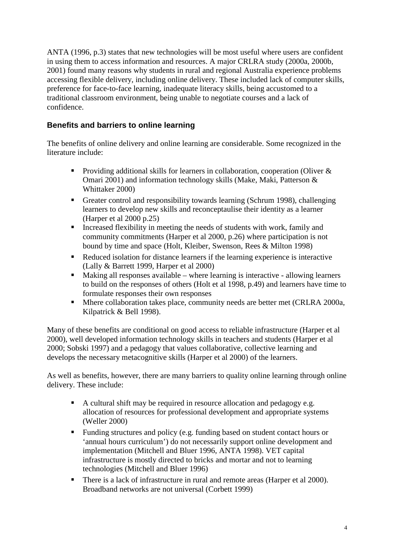ANTA (1996, p.3) states that new technologies will be most useful where users are confident in using them to access information and resources. A major CRLRA study (2000a, 2000b, 2001) found many reasons why students in rural and regional Australia experience problems accessing flexible delivery, including online delivery. These included lack of computer skills, preference for face-to-face learning, inadequate literacy skills, being accustomed to a traditional classroom environment, being unable to negotiate courses and a lack of confidence.

# **Benefits and barriers to online learning**

The benefits of online delivery and online learning are considerable. Some recognized in the literature include:

- Providing additional skills for learners in collaboration, cooperation (Oliver  $\&$ Omari 2001) and information technology skills (Make, Maki, Patterson & Whittaker 2000)
- Greater control and responsibility towards learning (Schrum 1998), challenging learners to develop new skills and reconceptaulise their identity as a learner (Harper et al 2000 p.25)
- Increased flexibility in meeting the needs of students with work, family and community commitments (Harper et al 2000, p.26) where participation is not bound by time and space (Holt, Kleiber, Swenson, Rees & Milton 1998)
- Reduced isolation for distance learners if the learning experience is interactive (Lally & Barrett 1999, Harper et al 2000)
- $\blacksquare$  Making all responses available where learning is interactive allowing learners to build on the responses of others (Holt et al 1998, p.49) and learners have time to formulate responses their own responses
- Mhere collaboration takes place, community needs are better met (CRLRA 2000a, Kilpatrick & Bell 1998).

Many of these benefits are conditional on good access to reliable infrastructure (Harper et al 2000), well developed information technology skills in teachers and students (Harper et al 2000; Sobski 1997) and a pedagogy that values collaborative, collective learning and develops the necessary metacognitive skills (Harper et al 2000) of the learners.

As well as benefits, however, there are many barriers to quality online learning through online delivery. These include:

- A cultural shift may be required in resource allocation and pedagogy e.g. allocation of resources for professional development and appropriate systems (Weller 2000)
- Funding structures and policy (e.g. funding based on student contact hours or 'annual hours curriculum') do not necessarily support online development and implementation (Mitchell and Bluer 1996, ANTA 1998). VET capital infrastructure is mostly directed to bricks and mortar and not to learning technologies (Mitchell and Bluer 1996)
- There is a lack of infrastructure in rural and remote areas (Harper et al 2000). Broadband networks are not universal (Corbett 1999)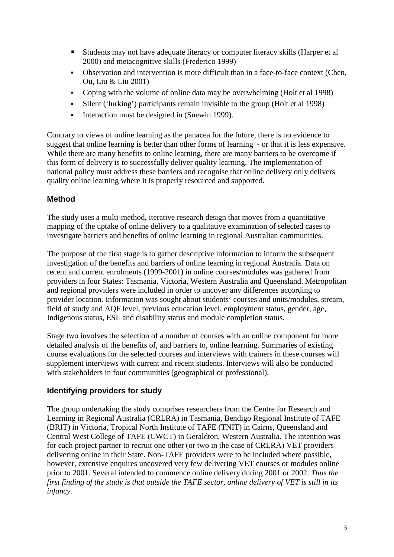- Students may not have adequate literacy or computer literacy skills (Harper et al 2000) and metacognitive skills (Frederico 1999)
- Observation and intervention is more difficult than in a face-to-face context (Chen, Ou, Liu & Liu 2001)
- Coping with the volume of online data may be overwhelming (Holt et al 1998)
- Silent ('lurking') participants remain invisible to the group (Holt et al 1998)
- Interaction must be designed in (Snewin 1999).

Contrary to views of online learning as the panacea for the future, there is no evidence to suggest that online learning is better than other forms of learning - or that it is less expensive. While there are many benefits to online learning, there are many barriers to be overcome if this form of delivery is to successfully deliver quality learning. The implementation of national policy must address these barriers and recognise that online delivery only delivers quality online learning where it is properly resourced and supported.

### **Method**

The study uses a multi-method, iterative research design that moves from a quantitative mapping of the uptake of online delivery to a qualitative examination of selected cases to investigate barriers and benefits of online learning in regional Australian communities.

The purpose of the first stage is to gather descriptive information to inform the subsequent investigation of the benefits and barriers of online learning in regional Australia. Data on recent and current enrolments (1999-2001) in online courses/modules was gathered from providers in four States: Tasmania, Victoria, Western Australia and Queensland. Metropolitan and regional providers were included in order to uncover any differences according to provider location. Information was sought about students' courses and units/modules, stream, field of study and AQF level, previous education level, employment status, gender, age, Indigenous status, ESL and disability status and module completion status.

Stage two involves the selection of a number of courses with an online component for more detailed analysis of the benefits of, and barriers to, online learning. Summaries of existing course evaluations for the selected courses and interviews with trainers in these courses will supplement interviews with current and recent students. Interviews will also be conducted with stakeholders in four communities (geographical or professional).

## **Identifying providers for study**

The group undertaking the study comprises researchers from the Centre for Research and Learning in Regional Australia (CRLRA) in Tasmania, Bendigo Regional Institute of TAFE (BRIT) in Victoria, Tropical North Institute of TAFE (TNIT) in Cairns, Queensland and Central West College of TAFE (CWCT) in Geraldton, Western Australia. The intention was for each project partner to recruit one other (or two in the case of CRLRA) VET providers delivering online in their State. Non-TAFE providers were to be included where possible, however, extensive enquires uncovered very few delivering VET courses or modules online prior to 2001. Several intended to commence online delivery during 2001 or 2002. *Thus the first finding of the study is that outside the TAFE sector, online delivery of VET is still in its infancy.*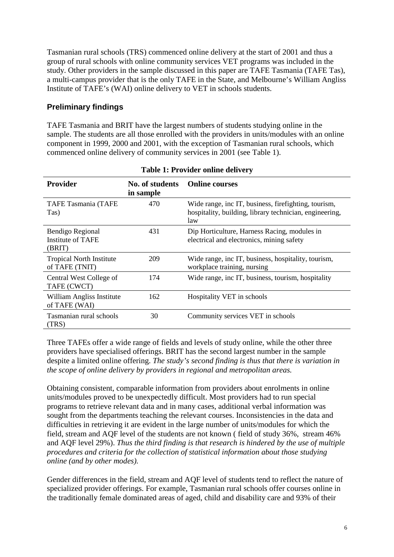Tasmanian rural schools (TRS) commenced online delivery at the start of 2001 and thus a group of rural schools with online community services VET programs was included in the study. Other providers in the sample discussed in this paper are TAFE Tasmania (TAFE Tas), a multi-campus provider that is the only TAFE in the State, and Melbourne's William Angliss Institute of TAFE's (WAI) online delivery to VET in schools students.

## **Preliminary findings**

TAFE Tasmania and BRIT have the largest numbers of students studying online in the sample. The students are all those enrolled with the providers in units/modules with an online component in 1999, 2000 and 2001, with the exception of Tasmanian rural schools, which commenced online delivery of community services in 2001 (see Table 1).

| <b>Provider</b>                                   | No. of students<br>in sample | <b>Online courses</b>                                                                                                   |  |  |  |  |
|---------------------------------------------------|------------------------------|-------------------------------------------------------------------------------------------------------------------------|--|--|--|--|
| <b>TAFE Tasmania (TAFE</b><br>Tas)                | 470                          | Wide range, inc IT, business, fire fighting, tourism,<br>hospitality, building, library technician, engineering,<br>law |  |  |  |  |
| Bendigo Regional<br>Institute of TAFE<br>(BRIT)   | 431                          | Dip Horticulture, Harness Racing, modules in<br>electrical and electronics, mining safety                               |  |  |  |  |
| <b>Tropical North Institute</b><br>of TAFE (TNIT) | 209                          | Wide range, inc IT, business, hospitality, tourism,<br>workplace training, nursing                                      |  |  |  |  |
| Central West College of<br>TAFE (CWCT)            | 174                          | Wide range, inc IT, business, tourism, hospitality                                                                      |  |  |  |  |
| William Angliss Institute<br>of TAFE (WAI)        | 162                          | Hospitality VET in schools                                                                                              |  |  |  |  |
| Tasmanian rural schools<br>(TRS)                  | 30                           | Community services VET in schools                                                                                       |  |  |  |  |

**Table 1: Provider online delivery** 

Three TAFEs offer a wide range of fields and levels of study online, while the other three providers have specialised offerings. BRIT has the second largest number in the sample despite a limited online offering. *The study's second finding is thus that there is variation in the scope of online delivery by providers in regional and metropolitan areas.*

Obtaining consistent, comparable information from providers about enrolments in online units/modules proved to be unexpectedly difficult. Most providers had to run special programs to retrieve relevant data and in many cases, additional verbal information was sought from the departments teaching the relevant courses. Inconsistencies in the data and difficulties in retrieving it are evident in the large number of units/modules for which the field, stream and AQF level of the students are not known ( field of study 36%, stream 46% and AQF level 29%). *Thus the third finding is that research is hindered by the use of multiple procedures and criteria for the collection of statistical information about those studying online (and by other modes).* 

Gender differences in the field, stream and AQF level of students tend to reflect the nature of specialized provider offerings. For example, Tasmanian rural schools offer courses online in the traditionally female dominated areas of aged, child and disability care and 93% of their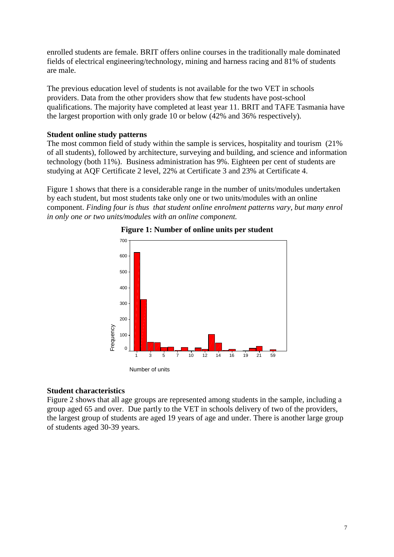enrolled students are female. BRIT offers online courses in the traditionally male dominated fields of electrical engineering/technology, mining and harness racing and 81% of students are male.

The previous education level of students is not available for the two VET in schools providers. Data from the other providers show that few students have post-school qualifications. The majority have completed at least year 11. BRIT and TAFE Tasmania have the largest proportion with only grade 10 or below (42% and 36% respectively).

#### **Student online study patterns**

The most common field of study within the sample is services, hospitality and tourism (21% of all students), followed by architecture, surveying and building, and science and information technology (both 11%). Business administration has 9%. Eighteen per cent of students are studying at AQF Certificate 2 level, 22% at Certificate 3 and 23% at Certificate 4.

Figure 1 shows that there is a considerable range in the number of units/modules undertaken by each student, but most students take only one or two units/modules with an online component. *Finding four is thus that student online enrolment patterns vary, but many enrol in only one or two units/modules with an online component.*





#### **Student characteristics**

Figure 2 shows that all age groups are represented among students in the sample, including a group aged 65 and over. Due partly to the VET in schools delivery of two of the providers, the largest group of students are aged 19 years of age and under. There is another large group of students aged 30-39 years.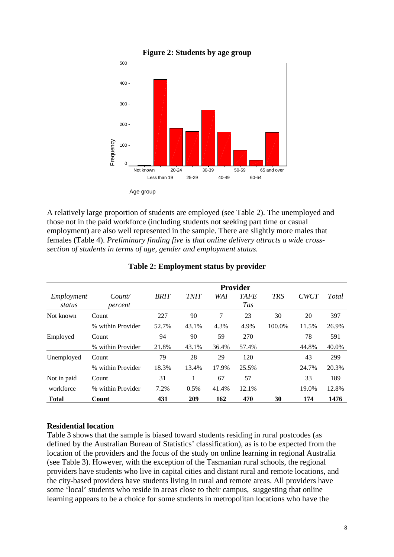

A relatively large proportion of students are employed (see Table 2). The unemployed and those not in the paid workforce (including students not seeking part time or casual employment) are also well represented in the sample. There are slightly more males that females (Table 4). *Preliminary finding five is that online delivery attracts a wide crosssection of students in terms of age, gender and employment status.* 

|                      | <b>Provider</b>   |             |             |       |                           |            |             |       |  |
|----------------------|-------------------|-------------|-------------|-------|---------------------------|------------|-------------|-------|--|
| Employment<br>status | Count/<br>percent | <b>BRIT</b> | <b>TNIT</b> | WA I  | <b>TAFE</b><br><b>Tas</b> | <b>TRS</b> | <b>CWCT</b> | Total |  |
| Not known            | Count             | 227         | 90          | 7     | 23                        | 30         | 20          | 397   |  |
|                      | % within Provider | 52.7%       | 43.1%       | 4.3%  | 4.9%                      | 100.0%     | 11.5%       | 26.9% |  |
| Employed             | Count             | 94          | 90          | 59    | 270                       |            | 78          | 591   |  |
|                      | % within Provider | 21.8%       | 43.1%       | 36.4% | 57.4%                     |            | 44.8%       | 40.0% |  |
| Unemployed           | Count             | 79          | 28          | 29    | 120                       |            | 43          | 299   |  |
|                      | % within Provider | 18.3%       | 13.4%       | 17.9% | 25.5%                     |            | 24.7%       | 20.3% |  |
| Not in paid          | Count             | 31          | 1           | 67    | 57                        |            | 33          | 189   |  |
| workforce            | % within Provider | 7.2%        | 0.5%        | 41.4% | 12.1%                     |            | 19.0%       | 12.8% |  |
| <b>Total</b>         | Count             | 431         | 209         | 162   | 470                       | 30         | 174         | 1476  |  |

### **Table 2: Employment status by provider**

### **Residential location**

Table 3 shows that the sample is biased toward students residing in rural postcodes (as defined by the Australian Bureau of Statistics' classification), as is to be expected from the location of the providers and the focus of the study on online learning in regional Australia (see Table 3). However, with the exception of the Tasmanian rural schools, the regional providers have students who live in capital cities and distant rural and remote locations, and the city-based providers have students living in rural and remote areas. All providers have some 'local' students who reside in areas close to their campus, suggesting that online learning appears to be a choice for some students in metropolitan locations who have the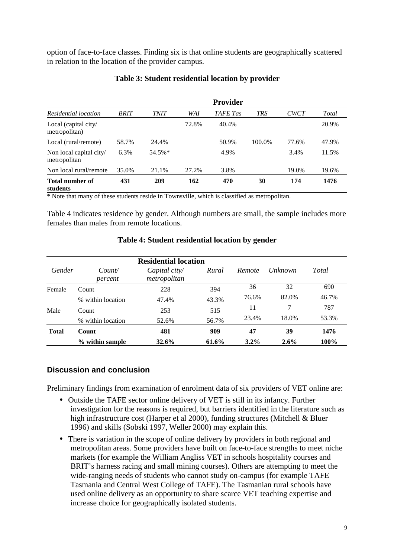option of face-to-face classes. Finding six is that online students are geographically scattered in relation to the location of the provider campus.

|                                         | <b>Provider</b> |             |       |                 |            |             |       |
|-----------------------------------------|-----------------|-------------|-------|-----------------|------------|-------------|-------|
| Residential location                    | <b>BRIT</b>     | <b>TNIT</b> | WAI   | <b>TAFE</b> Tas | <b>TRS</b> | <b>CWCT</b> | Total |
| Local (capital city/<br>metropolitan)   |                 |             | 72.8% | 40.4%           |            |             | 20.9% |
| Local (rural/remote)                    | 58.7%           | 24.4%       |       | 50.9%           | 100.0%     | 77.6%       | 47.9% |
| Non local capital city/<br>metropolitan | 6.3%            | 54.5%*      |       | 4.9%            |            | 3.4%        | 11.5% |
| Non local rural/remote                  | 35.0%           | 21.1%       | 27.2% | 3.8%            |            | 19.0%       | 19.6% |
| <b>Total number of</b><br>students      | 431             | 209         | 162   | 470             | 30         | 174         | 1476  |

#### **Table 3: Student residential location by provider**

\* Note that many of these students reside in Townsville, which is classified as metropolitan.

Table 4 indicates residence by gender. Although numbers are small, the sample includes more females than males from remote locations.

| <b>Residential location</b> |                   |                               |       |         |                |       |  |  |  |
|-----------------------------|-------------------|-------------------------------|-------|---------|----------------|-------|--|--|--|
| Gender                      | Count/<br>percent | Capital city/<br>metropolitan | Rural | Remote  | <i>Unknown</i> | Total |  |  |  |
| Female                      | Count             | 228                           | 394   | 36      | 32             | 690   |  |  |  |
|                             | % within location | 47.4%                         | 43.3% | 76.6%   | 82.0%          | 46.7% |  |  |  |
| Male                        | Count             | 253                           | 515   | 11      | 7              | 787   |  |  |  |
|                             | % within location | 52.6%                         | 56.7% | 23.4%   | 18.0%          | 53.3% |  |  |  |
| <b>Total</b>                | Count             | 481                           | 909   | 47      | 39             | 1476  |  |  |  |
|                             | % within sample   | 32.6%                         | 61.6% | $3.2\%$ | 2.6%           | 100%  |  |  |  |

#### **Table 4: Student residential location by gender**

#### **Discussion and conclusion**

Preliminary findings from examination of enrolment data of six providers of VET online are:

- Outside the TAFE sector online delivery of VET is still in its infancy. Further investigation for the reasons is required, but barriers identified in the literature such as high infrastructure cost (Harper et al 2000), funding structures (Mitchell & Bluer 1996) and skills (Sobski 1997, Weller 2000) may explain this.
- There is variation in the scope of online delivery by providers in both regional and metropolitan areas. Some providers have built on face-to-face strengths to meet niche markets (for example the William Angliss VET in schools hospitality courses and BRIT's harness racing and small mining courses). Others are attempting to meet the wide-ranging needs of students who cannot study on-campus (for example TAFE Tasmania and Central West College of TAFE). The Tasmanian rural schools have used online delivery as an opportunity to share scarce VET teaching expertise and increase choice for geographically isolated students.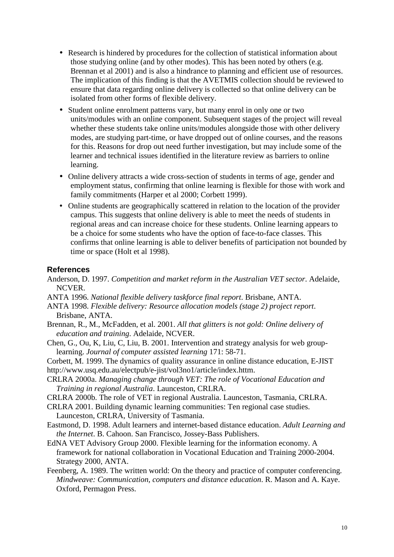- Research is hindered by procedures for the collection of statistical information about those studying online (and by other modes). This has been noted by others (e.g. Brennan et al 2001) and is also a hindrance to planning and efficient use of resources. The implication of this finding is that the AVETMIS collection should be reviewed to ensure that data regarding online delivery is collected so that online delivery can be isolated from other forms of flexible delivery.
- Student online enrolment patterns vary, but many enrol in only one or two units/modules with an online component. Subsequent stages of the project will reveal whether these students take online units/modules alongside those with other delivery modes, are studying part-time, or have dropped out of online courses, and the reasons for this. Reasons for drop out need further investigation, but may include some of the learner and technical issues identified in the literature review as barriers to online learning.
- Online delivery attracts a wide cross-section of students in terms of age, gender and employment status, confirming that online learning is flexible for those with work and family commitments (Harper et al 2000; Corbett 1999).
- Online students are geographically scattered in relation to the location of the provider campus. This suggests that online delivery is able to meet the needs of students in regional areas and can increase choice for these students. Online learning appears to be a choice for some students who have the option of face-to-face classes. This confirms that online learning is able to deliver benefits of participation not bounded by time or space (Holt et al 1998).

#### **References**

- Anderson, D. 1997. *Competition and market reform in the Australian VET sector*. Adelaide, NCVER.
- ANTA 1996. *National flexible delivery taskforce final report*. Brisbane, ANTA.
- ANTA 1998. *Flexible delivery: Resource allocation models (stage 2) project report*. Brisbane, ANTA.
- Brennan, R., M., McFadden, et al. 2001. *All that glitters is not gold: Online delivery of education and training*. Adelaide, NCVER.
- Chen, G., Ou, K, Liu, C, Liu, B. 2001. Intervention and strategy analysis for web grouplearning. *Journal of computer assisted learning* 171: 58-71.
- Corbett, M. 1999. The dynamics of quality assurance in online distance education, E-JIST http://www.usq.edu.au/electpub/e-jist/vol3no1/article/index.httm.
- CRLRA 2000a. *Managing change through VET: The role of Vocational Education and Training in regional Australia*. Launceston, CRLRA.
- CRLRA 2000b. The role of VET in regional Australia. Launceston, Tasmania, CRLRA.
- CRLRA 2001. Building dynamic learning communities: Ten regional case studies. Launceston, CRLRA, University of Tasmania.
- Eastmond, D. 1998. Adult learners and internet-based distance education. *Adult Learning and the Internet*. B. Cahoon. San Francisco, Jossey-Bass Publishers.
- EdNA VET Advisory Group 2000. Flexible learning for the information economy. A framework for national collaboration in Vocational Education and Training 2000-2004. Strategy 2000, ANTA.
- Feenberg, A. 1989. The written world: On the theory and practice of computer conferencing. *Mindweave: Communication, computers and distance education*. R. Mason and A. Kaye. Oxford, Permagon Press.